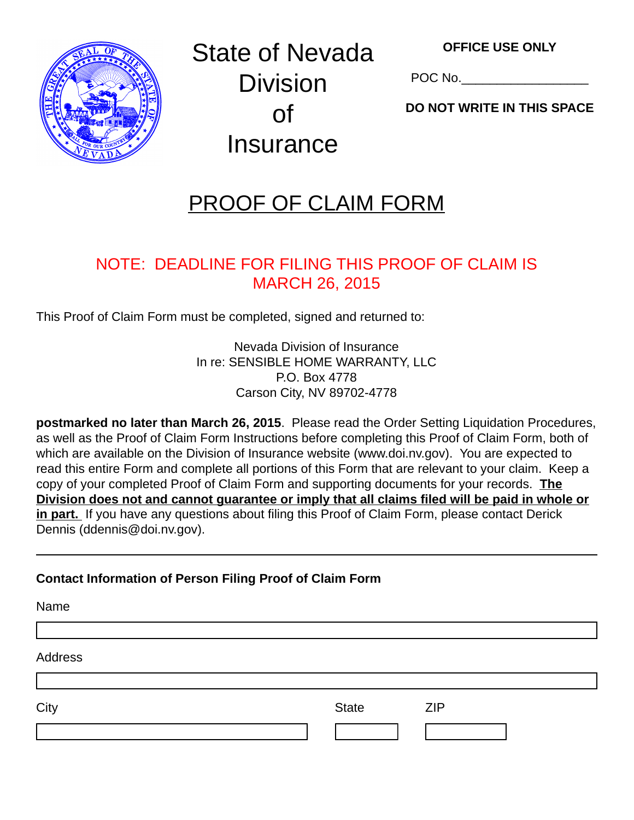

State of Nevada **Division** of Insurance

POC No.

**DO NOT WRITE IN THIS SPACE**

# PROOF OF CLAIM FORM

# NOTE: DEADLINE FOR FILING THIS PROOF OF CLAIM IS MARCH 26, 2015

This Proof of Claim Form must be completed, signed and returned to:

Nevada Division of Insurance In re: SENSIBLE HOME WARRANTY, LLC P.O. Box 4778 Carson City, NV 89702-4778

**postmarked no later than March 26, 2015**. Please read the Order Setting Liquidation Procedures, as well as the Proof of Claim Form Instructions before completing this Proof of Claim Form, both of which are available on the Division of Insurance website (www.doi.nv.gov). You are expected to read this entire Form and complete all portions of this Form that are relevant to your claim. Keep a copy of your completed Proof of Claim Form and supporting documents for your records. **The Division does not and cannot guarantee or imply that all claims filed will be paid in whole or in part.** If you have any questions about filing this Proof of Claim Form, please contact Derick Dennis (ddennis@doi.nv.gov).

## **Contact Information of Person Filing Proof of Claim Form**

| Name    |              |            |  |
|---------|--------------|------------|--|
| Address |              |            |  |
|         |              |            |  |
| City    | <b>State</b> | <b>ZIP</b> |  |
|         |              |            |  |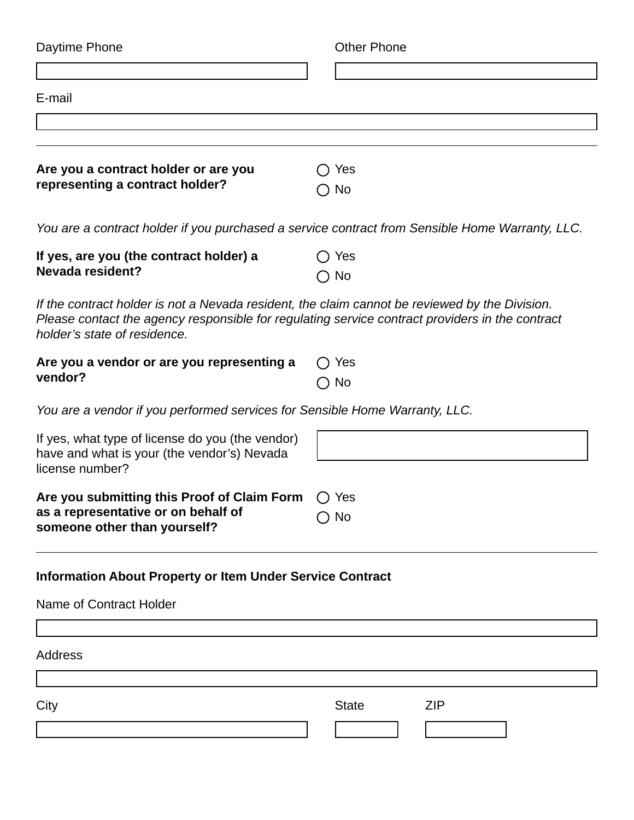| Daytime Phone                                                                                                                                                                                                                     | <b>Other Phone</b>         |  |  |  |
|-----------------------------------------------------------------------------------------------------------------------------------------------------------------------------------------------------------------------------------|----------------------------|--|--|--|
|                                                                                                                                                                                                                                   |                            |  |  |  |
| E-mail                                                                                                                                                                                                                            |                            |  |  |  |
|                                                                                                                                                                                                                                   |                            |  |  |  |
|                                                                                                                                                                                                                                   |                            |  |  |  |
| Are you a contract holder or are you<br>representing a contract holder?                                                                                                                                                           | )Yes<br>No                 |  |  |  |
| You are a contract holder if you purchased a service contract from Sensible Home Warranty, LLC.                                                                                                                                   |                            |  |  |  |
| If yes, are you (the contract holder) a<br><b>Nevada resident?</b>                                                                                                                                                                | $\bigcirc$ Yes             |  |  |  |
|                                                                                                                                                                                                                                   | $\bigcirc$ No              |  |  |  |
| If the contract holder is not a Nevada resident, the claim cannot be reviewed by the Division.<br>Please contact the agency responsible for regulating service contract providers in the contract<br>holder's state of residence. |                            |  |  |  |
| Are you a vendor or are you representing a                                                                                                                                                                                        | Yes                        |  |  |  |
| vendor?                                                                                                                                                                                                                           | $\bigcirc$ No              |  |  |  |
| You are a vendor if you performed services for Sensible Home Warranty, LLC.                                                                                                                                                       |                            |  |  |  |
| If yes, what type of license do you (the vendor)<br>have and what is your (the vendor's) Nevada<br>license number?                                                                                                                |                            |  |  |  |
| Are you submitting this Proof of Claim Form                                                                                                                                                                                       | Yes                        |  |  |  |
| as a representative or on behalf of<br>someone other than yourself?                                                                                                                                                               | $\bigcirc$ No              |  |  |  |
| <b>Information About Property or Item Under Service Contract</b>                                                                                                                                                                  |                            |  |  |  |
| Name of Contract Holder                                                                                                                                                                                                           |                            |  |  |  |
|                                                                                                                                                                                                                                   |                            |  |  |  |
| Address                                                                                                                                                                                                                           |                            |  |  |  |
| City                                                                                                                                                                                                                              | <b>ZIP</b><br><b>State</b> |  |  |  |
|                                                                                                                                                                                                                                   |                            |  |  |  |
|                                                                                                                                                                                                                                   |                            |  |  |  |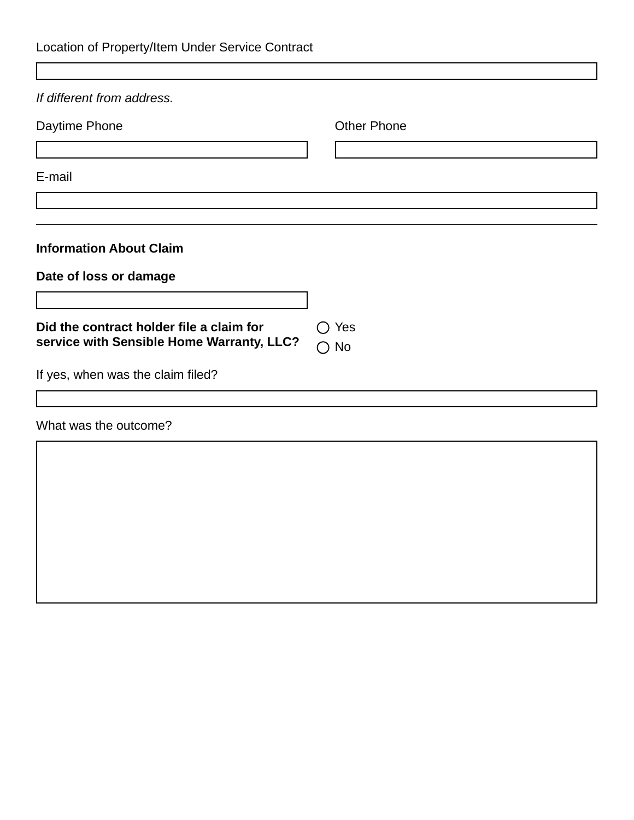| Location of Property/Item Under Service Contract |  |  |
|--------------------------------------------------|--|--|
|--------------------------------------------------|--|--|

Г

| If different from address.                |                               |
|-------------------------------------------|-------------------------------|
| Daytime Phone                             | <b>Other Phone</b>            |
|                                           |                               |
| E-mail                                    |                               |
|                                           |                               |
|                                           |                               |
| <b>Information About Claim</b>            |                               |
| Date of loss or damage                    |                               |
|                                           |                               |
| Did the contract holder file a claim for  | Yes<br>$\left( \quad \right)$ |
| service with Sensible Home Warranty, LLC? | $\bigcirc$ No                 |
| If yes, when was the claim filed?         |                               |
|                                           |                               |
| What was the outcome?                     |                               |
|                                           |                               |
|                                           |                               |
|                                           |                               |
|                                           |                               |
|                                           |                               |
|                                           |                               |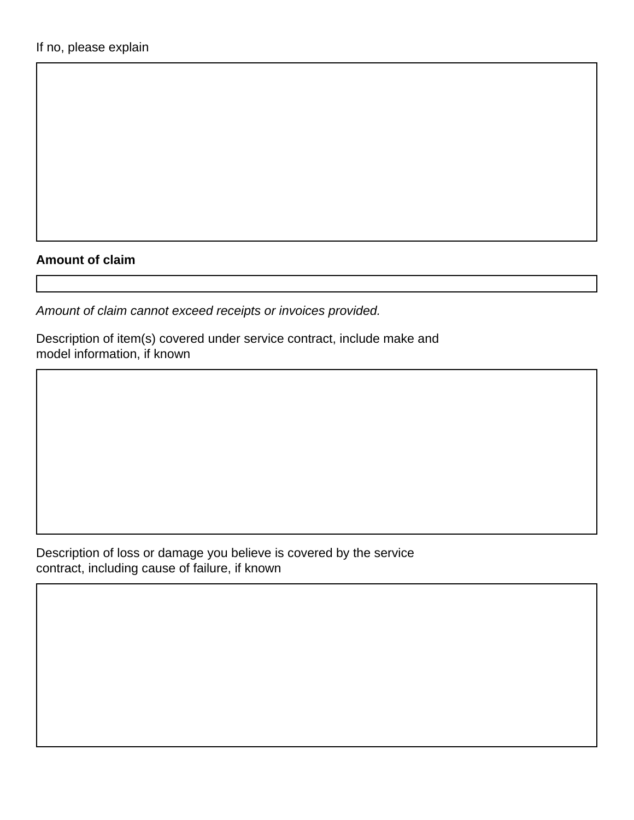#### **Amount of claim**

*Amount of claim cannot exceed receipts or invoices provided.* 

Description of item(s) covered under service contract, include make and model information, if known

Description of loss or damage you believe is covered by the service contract, including cause of failure, if known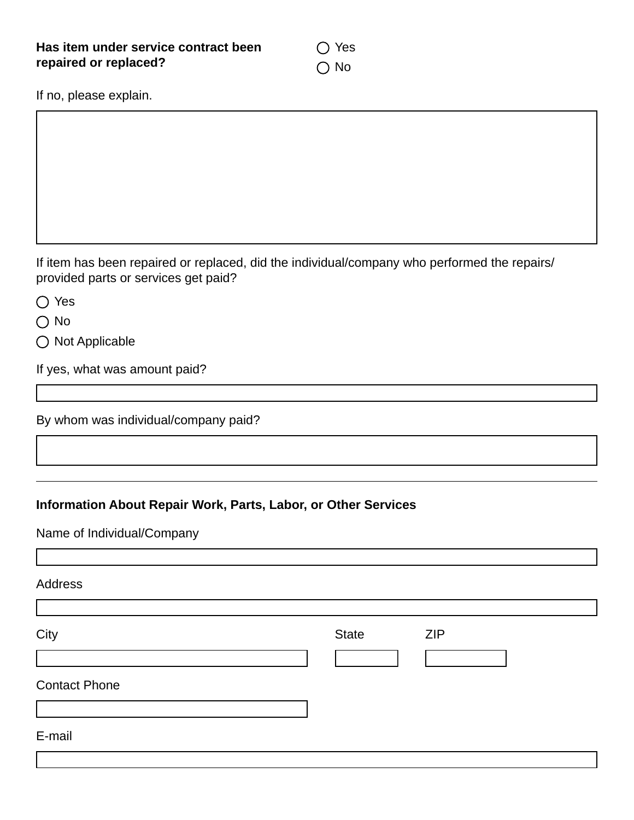◯ Yes ○ No

If no, please explain.

If item has been repaired or replaced, did the individual/company who performed the repairs/ provided parts or services get paid?

◯ Yes

 $\bigcap$  No

 $\bigcirc$  Not Applicable

If yes, what was amount paid?

By whom was individual/company paid?

#### **Information About Repair Work, Parts, Labor, or Other Services**

Name of Individual/Company

Address City **State City City State CIP** Contact Phone E-mail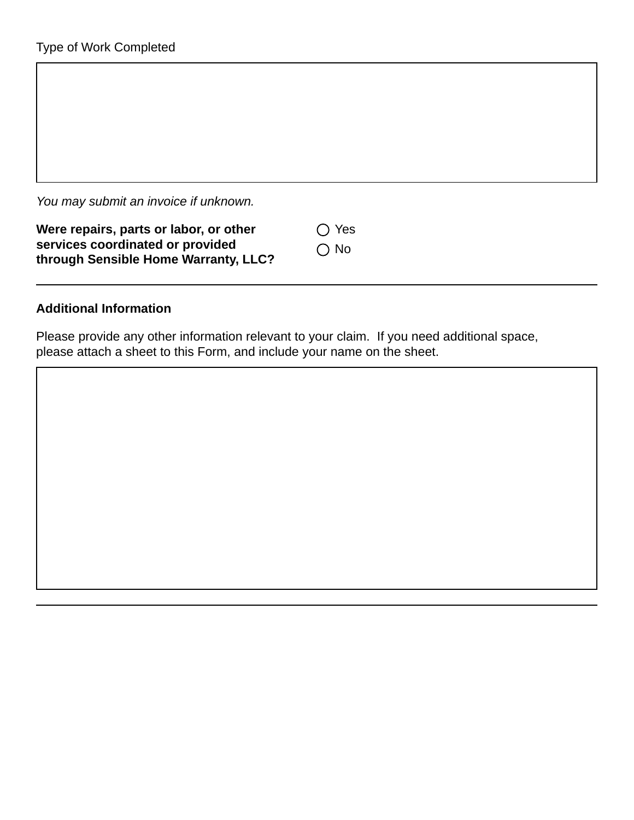*You may submit an invoice if unknown.* 

| Were repairs, parts or labor, or other | $\bigcap$ Yes |
|----------------------------------------|---------------|
| services coordinated or provided       | $\bigcap$ No  |
| through Sensible Home Warranty, LLC?   |               |

#### **Additional Information**

Please provide any other information relevant to your claim. If you need additional space, please attach a sheet to this Form, and include your name on the sheet.